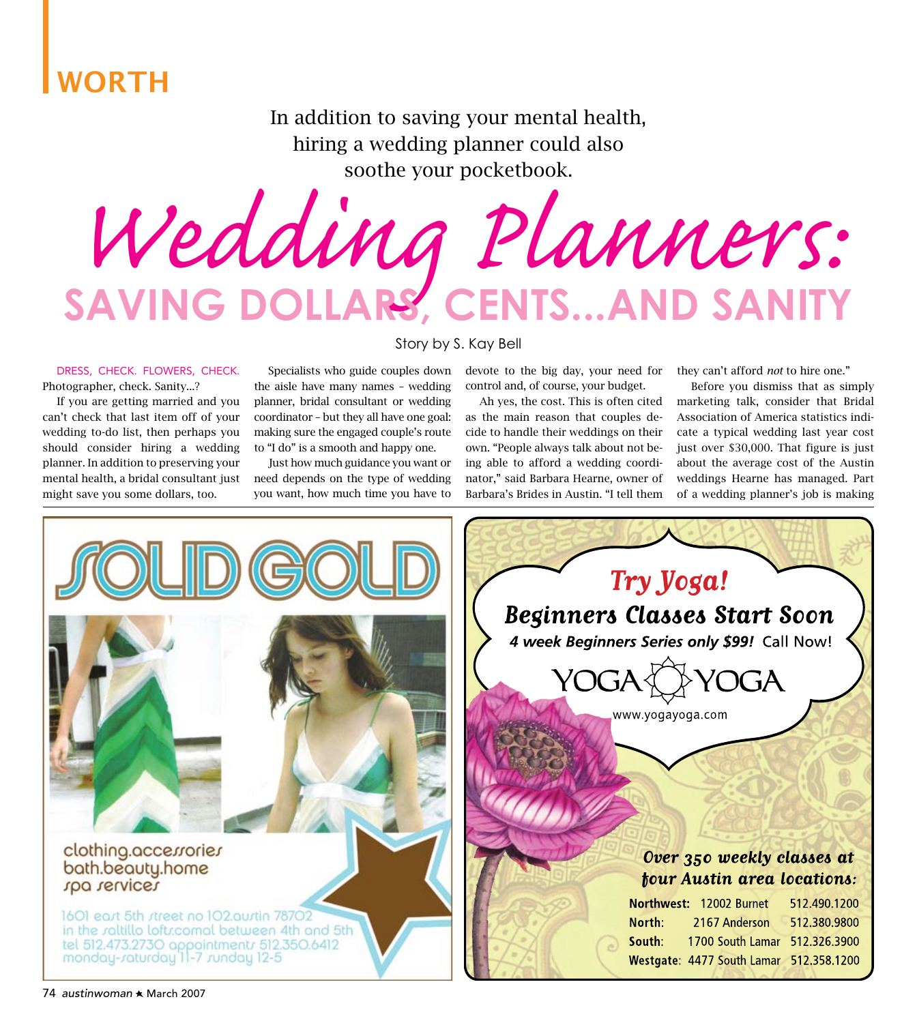## WORTH

In addition to saving your mental health, hiring a wedding planner could also soothe your pocketbook.

*Wedding Planners:* **Saving Dollars, Cents...and Sanity**

Story by S. Kay Bell

### Dress, check. Flowers, check. Photographer, check. Sanity...?

 If you are getting married and you can't check that last item off of your wedding to-do list, then perhaps you should consider hiring a wedding planner. In addition to preserving your mental health, a bridal consultant just might save you some dollars, too.

 Specialists who guide couples down the aisle have many names – wedding planner, bridal consultant or wedding coordinator – but they all have one goal: making sure the engaged couple's route to "I do" is a smooth and happy one.

 Just how much guidance you want or need depends on the type of wedding you want, how much time you have to devote to the big day, your need for control and, of course, your budget.

 Ah yes, the cost. This is often cited as the main reason that couples decide to handle their weddings on their own. "People always talk about not being able to afford a wedding coordinator," said Barbara Hearne, owner of Barbara's Brides in Austin. "I tell them

they can't afford *not* to hire one."

 Before you dismiss that as simply marketing talk, consider that Bridal Association of America statistics indicate a typical wedding last year cost just over \$30,000. That figure is just about the average cost of the Austin weddings Hearne has managed. Part of a wedding planner's job is making

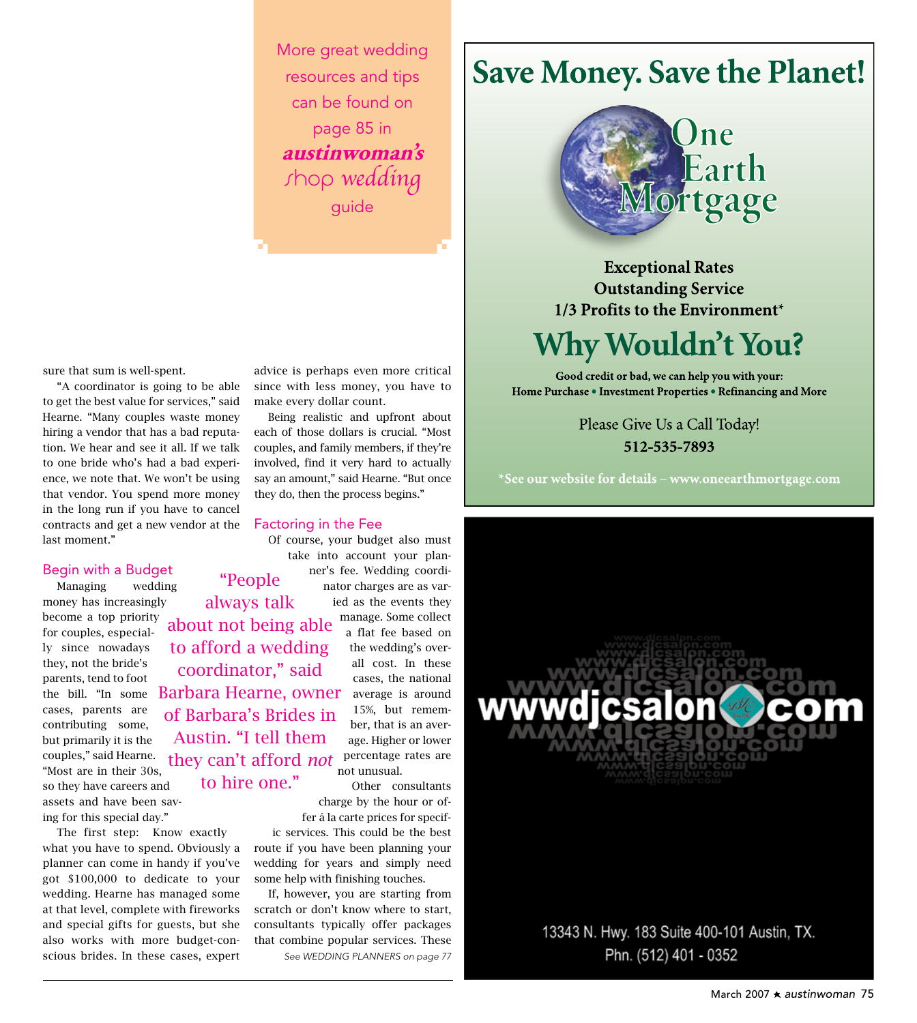More great wedding resources and tips can be found on page 85 in **austinwoman's** shop wedding guide

sure that sum is well-spent.

 "A coordinator is going to be able to get the best value for services," said Hearne. "Many couples waste money hiring a vendor that has a bad reputation. We hear and see it all. If we talk to one bride who's had a bad experience, we note that. We won't be using that vendor. You spend more money in the long run if you have to cancel contracts and get a new vendor at the last moment."

### Begin with a Budget

 Managing wedding money has increasingly become a top priority for couples, especially since nowadays they, not the bride's parents, tend to foot cases, parents are contributing some, but primarily it is the couples," said Hearne. "Most are in their 30s, so they have careers and assets and have been saving for this special day."

 The first step: Know exactly what you have to spend. Obviously a planner can come in handy if you've got \$100,000 to dedicate to your wedding. Hearne has managed some at that level, complete with fireworks and special gifts for guests, but she also works with more budget-conscious brides. In these cases, expert

advice is perhaps even more critical since with less money, you have to make every dollar count.

 Being realistic and upfront about each of those dollars is crucial. "Most couples, and family members, if they're involved, find it very hard to actually say an amount," said Hearne. "But once they do, then the process begins."

### Factoring in the Fee

 Of course, your budget also must take into account your planner's fee. Wedding coordinator charges are as varied as the events they "People

> a flat fee based on the wedding's overall cost. In these cases, the national average is around 15%, but remember, that is an average. Higher or lower percentage rates are

the bill. "In some Barbara Hearne, owner manage. Some collect they can't afford *not* percentage<br>not unusual. always talk about not being able to afford a wedding coordinator," said of Barbara's Brides in Austin. "I tell them to hire one."

 Other consultants charge by the hour or offer á la carte prices for specif-

ic services. This could be the best route if you have been planning your wedding for years and simply need some help with finishing touches.

 If, however, you are starting from scratch or don't know where to start, consultants typically offer packages that combine popular services. These *See WEDDING PLANNERS on page 77*

## **Save Money. Save the Planet!**



**Exceptional Rates Outstanding Service** 1/3 Profits to the Environment\*

# **Why Wouldn't You?**

Good credit or bad, we can help you with your: Home Purchase . Investment Properties . Refinancing and More

> Please Give Us a Call Today! 512-535-7893

\*See our website for details – www.oneearthmortgage.com

wwwdjcsalon 13343 N. Hwy. 183 Suite 400-101 Austin, TX. Phn. (512) 401 - 0352